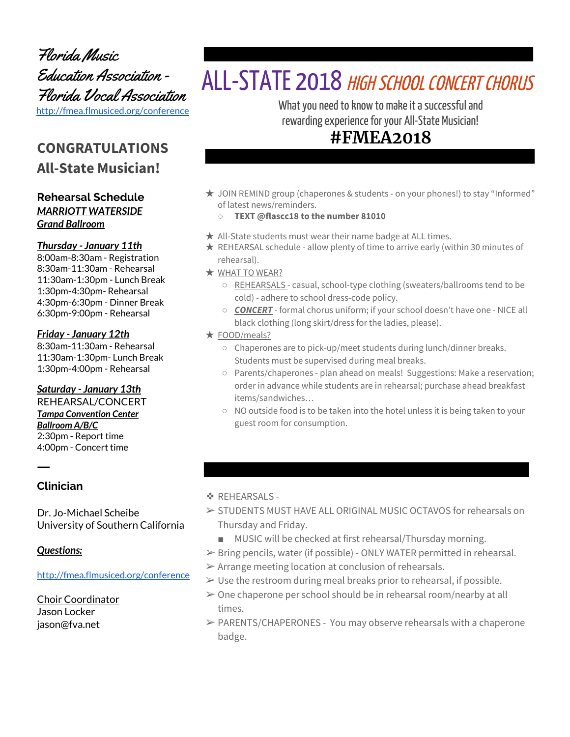Florida Music Education Association - Florida Vocal Association <http://fmea.flmusiced.org/conference>

# **CONGRATULATIONS All-State Musician!**

### **Rehearsal Schedule** *MARRIOTT WATERSIDE Grand Ballroom*

### *Thursday - January 11th*

8:00am-8:30am - Registration 8:30am-11:30am - Rehearsal 11:30am-1:30pm - Lunch Break 1:30pm-4:30pm- Rehearsal 4:30pm-6:30pm - Dinner Break 6:30pm-9:00pm - Rehearsal

#### *Friday - January 12th*

8:30am-11:30am - Rehearsal 11:30am-1:30pm- Lunch Break 1:30pm-4:00pm - Rehearsal

#### *Saturday - January 13th*

REHEARSAL/CONCERT *Tampa Convention Center Ballroom A/B/C* 2:30pm - Report time 4:00pm - Concert time

### **Clinician**

ㅡ

Dr. Jo-Michael Scheibe University of Southern California

### *Questions:*

<http://fmea.flmusiced.org/conference>

Choir Coordinator Jason Locker jason@fva.net

# ALL-STATE 2018 HIGH SCHOOL CONCERT CHORUS

What you need to know to make it a successful and rewarding experience for your All-State Musician!

# **#FMEA2018**

- ★ JOIN REMIND group (chaperones & students on your phones!) to stay "Informed" of latest news/reminders.
	- **TEXT @flascc18 to the number 81010**
- $\star$  All-State students must wear their name badge at ALL times.
- $\star$  REHEARSAL schedule allow plenty of time to arrive early (within 30 minutes of rehearsal).
- ★ WHAT TO WEAR?
	- REHEARSALS casual, school-type clothing (sweaters/ballrooms tend to be cold) - adhere to school dress-code policy.
	- *CONCERT* formal chorus uniform; if your school doesn't have one NICE all black clothing (long skirt/dress for the ladies, please).
- ★ FOOD/meals?
	- Chaperones are to pick-up/meet students during lunch/dinner breaks. Students must be supervised during meal breaks.
	- Parents/chaperones plan ahead on meals! Suggestions: Make a reservation; order in advance while students are in rehearsal; purchase ahead breakfast items/sandwiches…
	- NO outside food is to be taken into the hotel unless it is being taken to your guest room for consumption.

### ❖ REHEARSALS -

- ➢ STUDENTS MUST HAVE ALL ORIGINAL MUSIC OCTAVOS for rehearsals on Thursday and Friday.
	- MUSIC will be checked at first rehearsal/Thursday morning.
- ➢ Bring pencils, water (if possible) ONLY WATER permitted in rehearsal.
- $\triangleright$  Arrange meeting location at conclusion of rehearsals.
- $\triangleright$  Use the restroom during meal breaks prior to rehearsal, if possible.
- $\geq 0$ ne chaperone per school should be in rehearsal room/nearby at all times.
- $\triangleright$  PARENTS/CHAPERONES You may observe rehearsals with a chaperone badge.